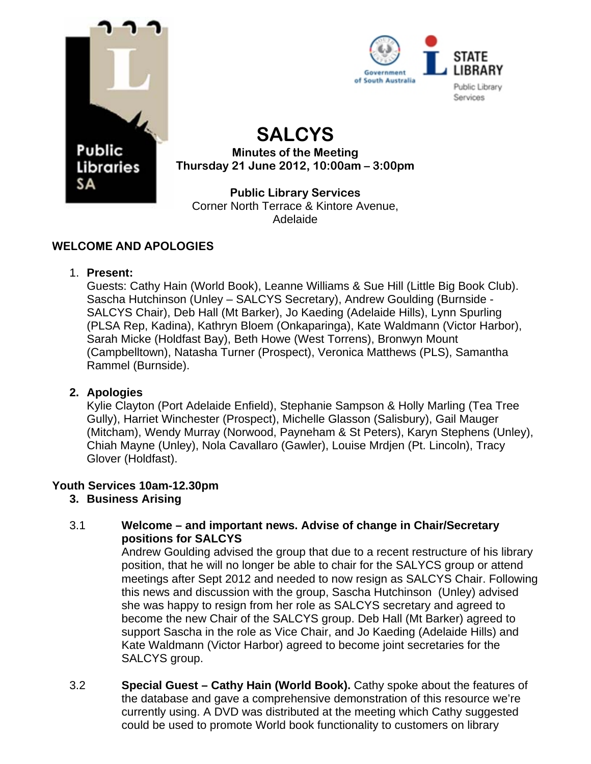



## **SALCYS Minutes of the Meeting Thursday 21 June 2012, 10:00am – 3:00pm**

**Public Library Services**  Corner North Terrace & Kintore Avenue, Adelaide

## **WELCOME AND APOLOGIES**

## 1. **Present:**

Guests: Cathy Hain (World Book), Leanne Williams & Sue Hill (Little Big Book Club). Sascha Hutchinson (Unley – SALCYS Secretary), Andrew Goulding (Burnside - SALCYS Chair), Deb Hall (Mt Barker), Jo Kaeding (Adelaide Hills), Lynn Spurling (PLSA Rep, Kadina), Kathryn Bloem (Onkaparinga), Kate Waldmann (Victor Harbor), Sarah Micke (Holdfast Bay), Beth Howe (West Torrens), Bronwyn Mount (Campbelltown), Natasha Turner (Prospect), Veronica Matthews (PLS), Samantha Rammel (Burnside).

## **2. Apologies**

Kylie Clayton (Port Adelaide Enfield), Stephanie Sampson & Holly Marling (Tea Tree Gully), Harriet Winchester (Prospect), Michelle Glasson (Salisbury), Gail Mauger (Mitcham), Wendy Murray (Norwood, Payneham & St Peters), Karyn Stephens (Unley), Chiah Mayne (Unley), Nola Cavallaro (Gawler), Louise Mrdjen (Pt. Lincoln), Tracy Glover (Holdfast).

## **Youth Services 10am-12.30pm**

## **3. Business Arising**

#### 3.1 **Welcome – and important news. Advise of change in Chair/Secretary positions for SALCYS**

Andrew Goulding advised the group that due to a recent restructure of his library position, that he will no longer be able to chair for the SALYCS group or attend meetings after Sept 2012 and needed to now resign as SALCYS Chair. Following this news and discussion with the group, Sascha Hutchinson (Unley) advised she was happy to resign from her role as SALCYS secretary and agreed to become the new Chair of the SALCYS group. Deb Hall (Mt Barker) agreed to support Sascha in the role as Vice Chair, and Jo Kaeding (Adelaide Hills) and Kate Waldmann (Victor Harbor) agreed to become joint secretaries for the SALCYS aroup.

3.2 **Special Guest – Cathy Hain (World Book).** Cathy spoke about the features of the database and gave a comprehensive demonstration of this resource we're currently using. A DVD was distributed at the meeting which Cathy suggested could be used to promote World book functionality to customers on library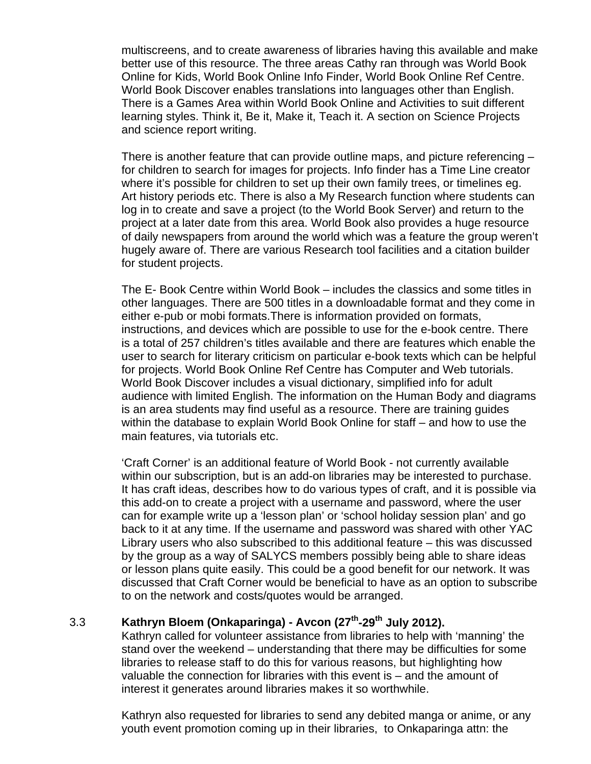multiscreens, and to create awareness of libraries having this available and make better use of this resource. The three areas Cathy ran through was World Book Online for Kids, World Book Online Info Finder, World Book Online Ref Centre. World Book Discover enables translations into languages other than English. There is a Games Area within World Book Online and Activities to suit different learning styles. Think it, Be it, Make it, Teach it. A section on Science Projects and science report writing.

There is another feature that can provide outline maps, and picture referencing – for children to search for images for projects. Info finder has a Time Line creator where it's possible for children to set up their own family trees, or timelines eg. Art history periods etc. There is also a My Research function where students can log in to create and save a project (to the World Book Server) and return to the project at a later date from this area. World Book also provides a huge resource of daily newspapers from around the world which was a feature the group weren't hugely aware of. There are various Research tool facilities and a citation builder for student projects.

The E- Book Centre within World Book – includes the classics and some titles in other languages. There are 500 titles in a downloadable format and they come in either e-pub or mobi formats.There is information provided on formats, instructions, and devices which are possible to use for the e-book centre. There is a total of 257 children's titles available and there are features which enable the user to search for literary criticism on particular e-book texts which can be helpful for projects. World Book Online Ref Centre has Computer and Web tutorials. World Book Discover includes a visual dictionary, simplified info for adult audience with limited English. The information on the Human Body and diagrams is an area students may find useful as a resource. There are training guides within the database to explain World Book Online for staff – and how to use the main features, via tutorials etc.

'Craft Corner' is an additional feature of World Book - not currently available within our subscription, but is an add-on libraries may be interested to purchase. It has craft ideas, describes how to do various types of craft, and it is possible via this add-on to create a project with a username and password, where the user can for example write up a 'lesson plan' or 'school holiday session plan' and go back to it at any time. If the username and password was shared with other YAC Library users who also subscribed to this additional feature – this was discussed by the group as a way of SALYCS members possibly being able to share ideas or lesson plans quite easily. This could be a good benefit for our network. It was discussed that Craft Corner would be beneficial to have as an option to subscribe to on the network and costs/quotes would be arranged.

# 3.3 **Kathryn Bloem (Onkaparinga) - Avcon (27<sup>th</sup>-29<sup>th</sup> July 2012).**

Kathryn called for volunteer assistance from libraries to help with 'manning' the stand over the weekend – understanding that there may be difficulties for some libraries to release staff to do this for various reasons, but highlighting how valuable the connection for libraries with this event is – and the amount of interest it generates around libraries makes it so worthwhile.

Kathryn also requested for libraries to send any debited manga or anime, or any youth event promotion coming up in their libraries, to Onkaparinga attn: the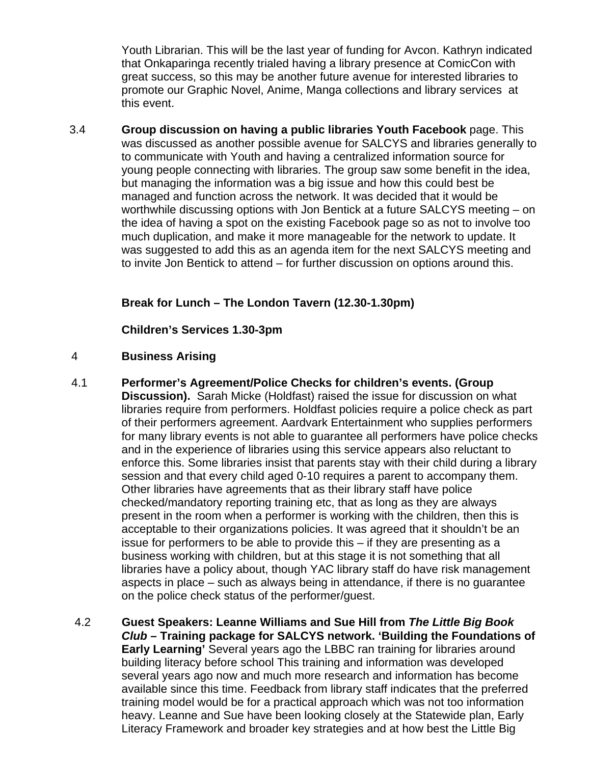Youth Librarian. This will be the last year of funding for Avcon. Kathryn indicated that Onkaparinga recently trialed having a library presence at ComicCon with great success, so this may be another future avenue for interested libraries to promote our Graphic Novel, Anime, Manga collections and library services at this event.

3.4 **Group discussion on having a public libraries Youth Facebook** page. This was discussed as another possible avenue for SALCYS and libraries generally to to communicate with Youth and having a centralized information source for young people connecting with libraries. The group saw some benefit in the idea, but managing the information was a big issue and how this could best be managed and function across the network. It was decided that it would be worthwhile discussing options with Jon Bentick at a future SALCYS meeting – on the idea of having a spot on the existing Facebook page so as not to involve too much duplication, and make it more manageable for the network to update. It was suggested to add this as an agenda item for the next SALCYS meeting and to invite Jon Bentick to attend – for further discussion on options around this.

## **Break for Lunch – The London Tavern (12.30-1.30pm)**

**Children's Services 1.30-3pm** 

#### 4 **Business Arising**

- 4.1 **Performer's Agreement/Police Checks for children's events. (Group Discussion).** Sarah Micke (Holdfast) raised the issue for discussion on what libraries require from performers. Holdfast policies require a police check as part of their performers agreement. Aardvark Entertainment who supplies performers for many library events is not able to guarantee all performers have police checks and in the experience of libraries using this service appears also reluctant to enforce this. Some libraries insist that parents stay with their child during a library session and that every child aged 0-10 requires a parent to accompany them. Other libraries have agreements that as their library staff have police checked/mandatory reporting training etc, that as long as they are always present in the room when a performer is working with the children, then this is acceptable to their organizations policies. It was agreed that it shouldn't be an issue for performers to be able to provide this – if they are presenting as a business working with children, but at this stage it is not something that all libraries have a policy about, though YAC library staff do have risk management aspects in place – such as always being in attendance, if there is no guarantee on the police check status of the performer/guest.
- 4.2 **Guest Speakers: Leanne Williams and Sue Hill from** *The Little Big Book Club –* **Training package for SALCYS network. 'Building the Foundations of Early Learning'** Several years ago the LBBC ran training for libraries around building literacy before school This training and information was developed several years ago now and much more research and information has become available since this time. Feedback from library staff indicates that the preferred training model would be for a practical approach which was not too information heavy. Leanne and Sue have been looking closely at the Statewide plan, Early Literacy Framework and broader key strategies and at how best the Little Big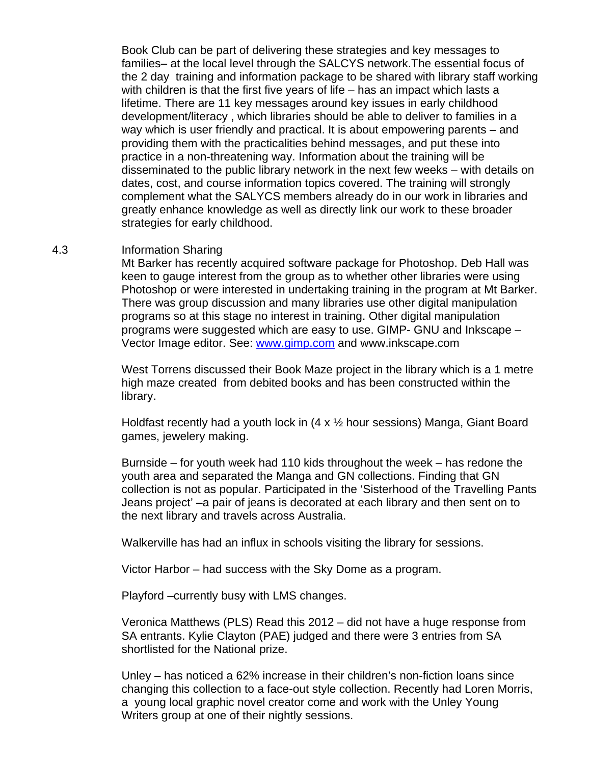Book Club can be part of delivering these strategies and key messages to families– at the local level through the SALCYS network.The essential focus of the 2 day training and information package to be shared with library staff working with children is that the first five years of life – has an impact which lasts a lifetime. There are 11 key messages around key issues in early childhood development/literacy , which libraries should be able to deliver to families in a way which is user friendly and practical. It is about empowering parents – and providing them with the practicalities behind messages, and put these into practice in a non-threatening way. Information about the training will be disseminated to the public library network in the next few weeks – with details on dates, cost, and course information topics covered. The training will strongly complement what the SALYCS members already do in our work in libraries and greatly enhance knowledge as well as directly link our work to these broader strategies for early childhood.

#### 4.3 Information Sharing

Mt Barker has recently acquired software package for Photoshop. Deb Hall was keen to gauge interest from the group as to whether other libraries were using Photoshop or were interested in undertaking training in the program at Mt Barker. There was group discussion and many libraries use other digital manipulation programs so at this stage no interest in training. Other digital manipulation programs were suggested which are easy to use. GIMP- GNU and Inkscape – Vector Image editor. See: [www.gimp.com](http://www.gimp.com/) and www.inkscape.com

West Torrens discussed their Book Maze project in the library which is a 1 metre high maze created from debited books and has been constructed within the library.

Holdfast recently had a youth lock in (4 x ½ hour sessions) Manga, Giant Board games, jewelery making.

Burnside – for youth week had 110 kids throughout the week – has redone the youth area and separated the Manga and GN collections. Finding that GN collection is not as popular. Participated in the 'Sisterhood of the Travelling Pants Jeans project' –a pair of jeans is decorated at each library and then sent on to the next library and travels across Australia.

Walkerville has had an influx in schools visiting the library for sessions.

Victor Harbor – had success with the Sky Dome as a program.

Playford –currently busy with LMS changes.

Veronica Matthews (PLS) Read this 2012 – did not have a huge response from SA entrants. Kylie Clayton (PAE) judged and there were 3 entries from SA shortlisted for the National prize.

Unley – has noticed a 62% increase in their children's non-fiction loans since changing this collection to a face-out style collection. Recently had Loren Morris, a young local graphic novel creator come and work with the Unley Young Writers group at one of their nightly sessions.